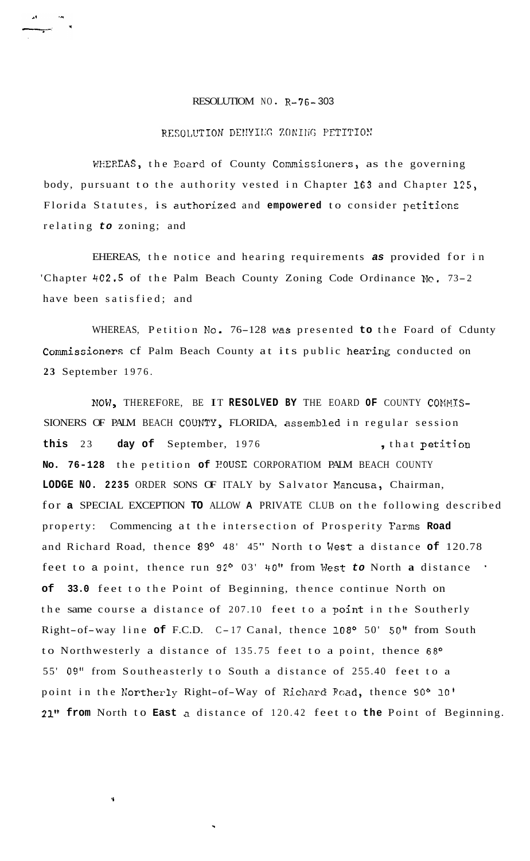## RESOLUTIOM NO **R-76-** 303

## RESOLUTION DENYING ZONING PETITION

WHEREAS, the Board of County Commissioners, as the governing body, pursuant to the authority vested in Chapter **163** and Chapter *125,*  Florida Statutes, is authorized and empowered to consider petitions relating *to* zoning; and

EHEREAS, the notice and hearing requirements *as* provided for in 'Chapter *4C2.5* of the Palm Beach County Zoning Code Ordinance **Nc.** 73-2 have been satisfied; and

WHEREAS, Petition **No.** 76-128 was presented **to** the Foard of Cdunty Commissioners cf Palm Beach County at its public hearing conducted on **23** September 1976.

NOW, THEREFORE, BE IT RESOLVED BY THE EOARD OF COUNTY COMMIS-SIONERS OF PALM BEACH COVNTY, FLORIDA, assenbled in regular session **this** 23 **day of** September, 1976 , that petitioa **No. 76-128** the petition **of** POUSE CORPORATIOM PALM BEACH COUNTY **LODGE NO. 2235** ORDER SONS OF ITALY by Salvator Pancusa, Chairman, for **a** SPECIAL EXCEPTION **TO** ALLOW **A** PRIVATE CLUB on the following described property: Commencing at the intersection of Prosperity Farms **Road**  and Richard Road, thence **89O** 48' 45" North to West a distance **of** 120.78 feet to a point, thence run 92<sup>o</sup> 03' 40" from West to North a distance . **of 33.0** feet to the Point of Beginning, thence continue North on the same course a distance of 207.10 feet to a point in the Southerly Right-of-way line of F.C.D. C-17 Canal, thence 108° 50' 50" from South to Northwesterly a distance of 135.75 feet to a point, thence *68O*  55' 09" from Southeasterly to South a distance of 255.40 feet to a point in the Kortherly Right-of-Way of Richard **FGad,** thence 90° **10' 21" from** North to **East a** distance of 120.42 feet to **the** Point of Beginning.

**Y**